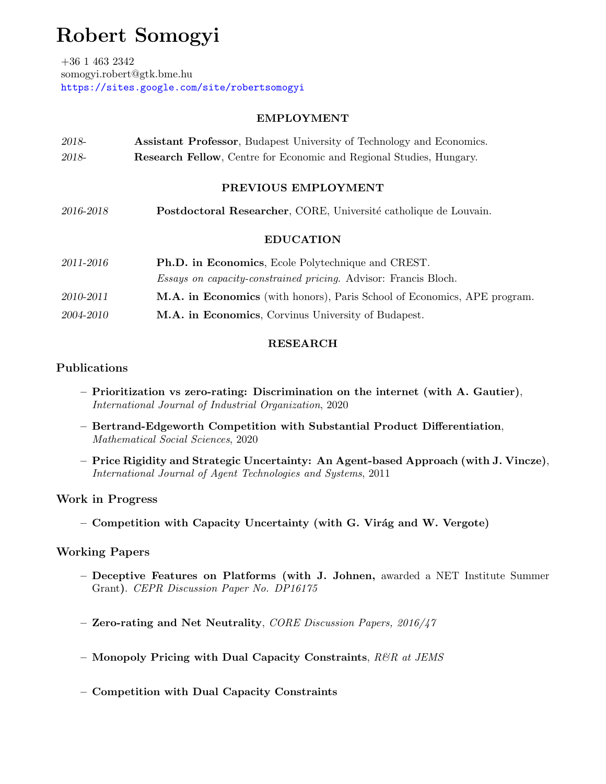# Robert Somogyi

+36 1 463 2342 somogyi.robert@gtk.bme.hu <https://sites.google.com/site/robertsomogyi>

## EMPLOYMENT

| 2018-               | <b>Assistant Professor</b> , Budapest University of Technology and Economics. |  |  |  |  |
|---------------------|-------------------------------------------------------------------------------|--|--|--|--|
| 2018-               | <b>Research Fellow</b> , Centre for Economic and Regional Studies, Hungary.   |  |  |  |  |
|                     |                                                                               |  |  |  |  |
| PREVIOUS EMPLOYMENT |                                                                               |  |  |  |  |
|                     |                                                                               |  |  |  |  |
| 2016-2018           | Postdoctoral Researcher, CORE, Université catholique de Louvain.              |  |  |  |  |

## EDUCATION

| 2011-2016 | <b>Ph.D.</b> in Economics, Ecole Polytechnique and CREST.                       |  |  |
|-----------|---------------------------------------------------------------------------------|--|--|
|           | <i>Essays on capacity-constrained pricing.</i> Advisor: Francis Bloch.          |  |  |
| 2010-2011 | <b>M.A. in Economics</b> (with honors), Paris School of Economics, APE program. |  |  |
| 2004-2010 | M.A. in Economics, Corvinus University of Budapest.                             |  |  |

# RESEARCH

# Publications

- Prioritization vs zero-rating: Discrimination on the internet (with A. Gautier), International Journal of Industrial Organization, 2020
- Bertrand-Edgeworth Competition with Substantial Product Differentiation, Mathematical Social Sciences, 2020
- Price Rigidity and Strategic Uncertainty: An Agent-based Approach (with J. Vincze), International Journal of Agent Technologies and Systems, 2011

# Work in Progress

– Competition with Capacity Uncertainty (with G. Virág and W. Vergote)

# Working Papers

- Deceptive Features on Platforms (with J. Johnen, awarded a NET Institute Summer Grant). CEPR Discussion Paper No. DP16175
- Zero-rating and Net Neutrality, CORE Discussion Papers, 2016/47
- Monopoly Pricing with Dual Capacity Constraints,  $R\mathscr{B}R$  at JEMS
- Competition with Dual Capacity Constraints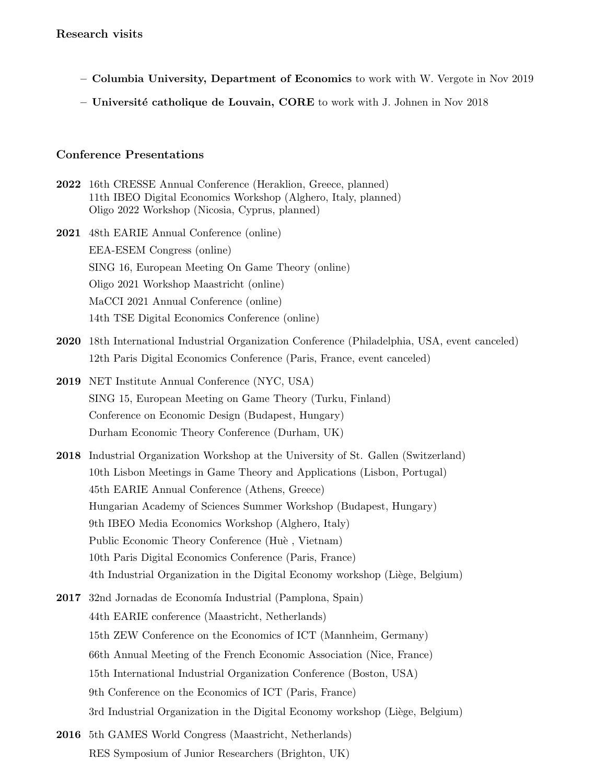- Columbia University, Department of Economics to work with W. Vergote in Nov 2019
- Université catholique de Louvain, CORE to work with J. Johnen in Nov 2018

#### Conference Presentations

2022 16th CRESSE Annual Conference (Heraklion, Greece, planned) 11th IBEO Digital Economics Workshop (Alghero, Italy, planned) Oligo 2022 Workshop (Nicosia, Cyprus, planned)

2021 48th EARIE Annual Conference (online) EEA-ESEM Congress (online) SING 16, European Meeting On Game Theory (online) Oligo 2021 Workshop Maastricht (online) MaCCI 2021 Annual Conference (online) 14th TSE Digital Economics Conference (online)

- 2020 18th International Industrial Organization Conference (Philadelphia, USA, event canceled) 12th Paris Digital Economics Conference (Paris, France, event canceled)
- 2019 NET Institute Annual Conference (NYC, USA) SING 15, European Meeting on Game Theory (Turku, Finland) Conference on Economic Design (Budapest, Hungary) Durham Economic Theory Conference (Durham, UK)
- 2018 Industrial Organization Workshop at the University of St. Gallen (Switzerland) 10th Lisbon Meetings in Game Theory and Applications (Lisbon, Portugal) 45th EARIE Annual Conference (Athens, Greece) Hungarian Academy of Sciences Summer Workshop (Budapest, Hungary) 9th IBEO Media Economics Workshop (Alghero, Italy) Public Economic Theory Conference (Huè, Vietnam) 10th Paris Digital Economics Conference (Paris, France) 4th Industrial Organization in the Digital Economy workshop (Liège, Belgium)
- 2017 32nd Jornadas de Economía Industrial (Pamplona, Spain) 44th EARIE conference (Maastricht, Netherlands) 15th ZEW Conference on the Economics of ICT (Mannheim, Germany) 66th Annual Meeting of the French Economic Association (Nice, France) 15th International Industrial Organization Conference (Boston, USA) 9th Conference on the Economics of ICT (Paris, France) 3rd Industrial Organization in the Digital Economy workshop (Liège, Belgium)
- 2016 5th GAMES World Congress (Maastricht, Netherlands) RES Symposium of Junior Researchers (Brighton, UK)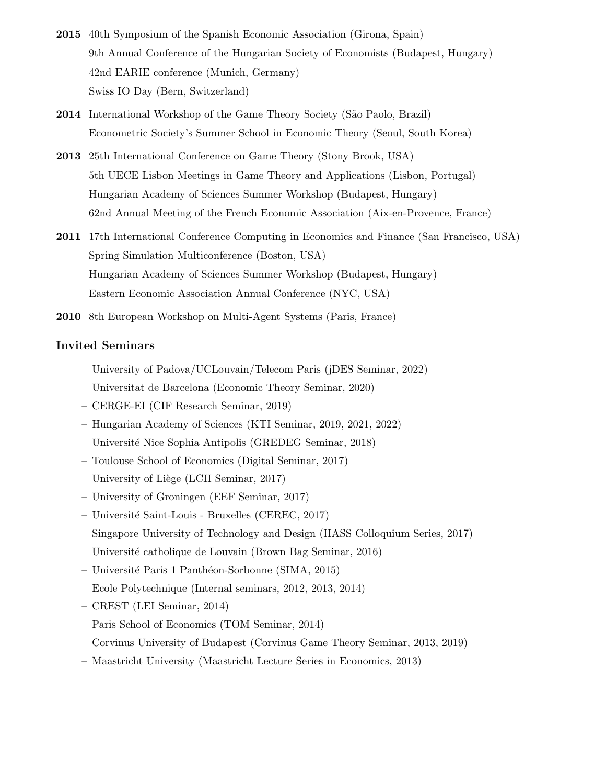- 2015 40th Symposium of the Spanish Economic Association (Girona, Spain) 9th Annual Conference of the Hungarian Society of Economists (Budapest, Hungary) 42nd EARIE conference (Munich, Germany) Swiss IO Day (Bern, Switzerland)
- 2014 International Workshop of the Game Theory Society (São Paolo, Brazil) Econometric Society's Summer School in Economic Theory (Seoul, South Korea)
- 2013 25th International Conference on Game Theory (Stony Brook, USA) 5th UECE Lisbon Meetings in Game Theory and Applications (Lisbon, Portugal) Hungarian Academy of Sciences Summer Workshop (Budapest, Hungary) 62nd Annual Meeting of the French Economic Association (Aix-en-Provence, France)
- 2011 17th International Conference Computing in Economics and Finance (San Francisco, USA) Spring Simulation Multiconference (Boston, USA) Hungarian Academy of Sciences Summer Workshop (Budapest, Hungary) Eastern Economic Association Annual Conference (NYC, USA)
- 2010 8th European Workshop on Multi-Agent Systems (Paris, France)

#### Invited Seminars

- University of Padova/UCLouvain/Telecom Paris (jDES Seminar, 2022)
- Universitat de Barcelona (Economic Theory Seminar, 2020)
- CERGE-EI (CIF Research Seminar, 2019)
- Hungarian Academy of Sciences (KTI Seminar, 2019, 2021, 2022)
- Universit´e Nice Sophia Antipolis (GREDEG Seminar, 2018)
- Toulouse School of Economics (Digital Seminar, 2017)
- University of Liège (LCII Seminar, 2017)
- University of Groningen (EEF Seminar, 2017)
- Universit´e Saint-Louis Bruxelles (CEREC, 2017)
- Singapore University of Technology and Design (HASS Colloquium Series, 2017)
- Universit´e catholique de Louvain (Brown Bag Seminar, 2016)
- Universit´e Paris 1 Panth´eon-Sorbonne (SIMA, 2015)
- Ecole Polytechnique (Internal seminars, 2012, 2013, 2014)
- CREST (LEI Seminar, 2014)
- Paris School of Economics (TOM Seminar, 2014)
- Corvinus University of Budapest (Corvinus Game Theory Seminar, 2013, 2019)
- Maastricht University (Maastricht Lecture Series in Economics, 2013)